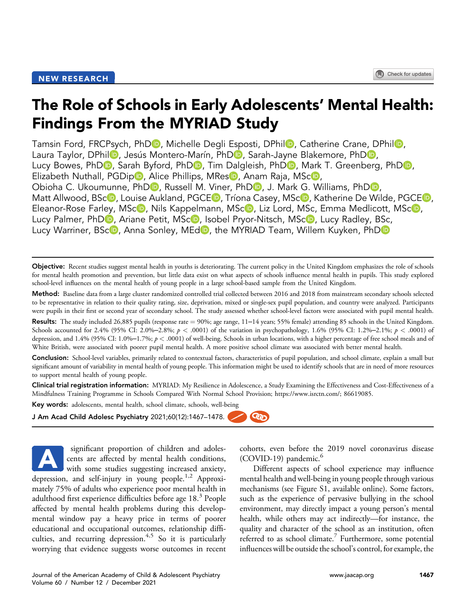# The Role of Schools in Early Adolescents' Mental Health: Findings From the MYRIAD Study

Tamsin Ford[,](https://orcid.org/0000-0001-5295-4904) FRCPsych, PhDD, Miche[l](https://orcid.org/0000-0002-4579-0670)le Degli Esposti, DPhilD, Catherine Crane, DPhilD, Laura Taylor, [D](https://orcid.org/0000-0001-5677-1662)Phil **D**[,](https://orcid.org/0000-0002-1690-2805) Jesús Montero-Marín, PhD **D**, Sarah-Jayne Blakemore, PhD **D**, Lucy Bowes[,](https://orcid.org/0000-0001-7189-5882) Ph[D](https://orcid.org/0000-0002-7304-2231)<sub>D</sub>, Sarah Byford, PhD<sub>D</sub>, Tim Dalgleish, PhD<sub>D</sub>, Mark T. Greenberg, PhD<sub>D</sub>, Elizabeth Nuthall[,](https://orcid.org/0000-0002-5092-7643) PGDip D, Alice Phillip[s](https://orcid.org/0000-0003-0387-6131), MRes D, Anam Raja, MS[c](https://orcid.org/0000-0002-9058-6564)D, Obioha C. Ukoumunne[,](https://orcid.org/0000-0002-0551-9157) Ph[D](https://orcid.org/0000-0002-9884-2614)D, Russell M. Viner, PhDD, J. Mark G. Williams, PhDD, Matt Allwood, BS[c](https://orcid.org/0000-0002-4845-1199)<sup>(D</sup>[,](https://orcid.org/0000-0002-8068-3176) Louise Aukland, PGC[E](https://orcid.org/0000-0001-9429-2697)<sup>(D</sup>, Tríona Casey, MSc<sup>(D</sup>, Katherine De Wilde, PGCE<sup>(D</sup>, Eleanor-Rose Farley[,](https://orcid.org/0000-0001-9406-3659) MSc<sup>10</sup>, Nils Kappelmann, MSc<sup>10</sup>, Liz Lord, MSc, Emma Medlicott, MSc<sup>10</sup>, Lucy Palmer, Ph[D](https://orcid.org/0000-0002-2218-6104)<sup>D</sup>[,](https://orcid.org/0000-0002-8148-6326) Ariane Petit, MScD, Isobel Pryor-Nitsch, MScD, Lucy Radley, BSc, Lu[c](https://orcid.org/0000-0003-4190-5167)y Warriner, BSc<sup>(p</sup>), Anna Sonley, ME[d](https://orcid.org/0000-0001-7616-1538)<sup>(p</sup>), the MYRIA[D](https://orcid.org/0000-0002-8596-5252) Team, Willem Kuyken, PhD<sup>(p</sup>)

Objective: Recent studies suggest mental health in youths is deteriorating. The current policy in the United Kingdom emphasizes the role of schools for mental health promotion and prevention, but little data exist on what aspects of schools influence mental health in pupils. This study explored school-level influences on the mental health of young people in a large school-based sample from the United Kingdom.

Method: Baseline data from a large cluster randomized controlled trial collected between 2016 and 2018 from mainstream secondary schools selected to be representative in relation to their quality rating, size, deprivation, mixed or single-sex pupil population, and country were analyzed. Participants were pupils in their first or second year of secondary school. The study assessed whether school-level factors were associated with pupil mental health.

**Results:** The study included 26,885 pupils (response rate = 90%; age range,  $11-14$  years; 55% female) attending 85 schools in the United Kingdom. Schools accounted for 2.4% (95% CI: 2.0%–2.8%;  $p < .0001$ ) of the variation in psychopathology, 1.6% (95% CI: 1.2%–2.1%;  $p < .0001$ ) of depression, and 1.4% (95% CI: 1.0%–1.7%;  $p < .0001$ ) of well-being. Schools in urban locations, with a higher percentage of free school meals and of White British, were associated with poorer pupil mental health. A more positive school climate was associated with better mental health.

Conclusion: School-level variables, primarily related to contextual factors, characteristics of pupil population, and school climate, explain a small but significant amount of variability in mental health of young people. This information might be used to identify schools that are in need of more resources to support mental health of young people.

Clinical trial registration information: MYRIAD: My Resilience in Adolescence, a Study Examining the Effectiveness and Cost-Effectiveness of a Mindfulness Training Programme in Schools Compared With Normal School Provision;<https://www.isrctn.com/>; 86619085.

<u> ශා</u>

Key words: adolescents, mental health, school climate, schools, well-being

J Am Acad Child Adolesc Psychiatry 2021;60(12):1467–1478.

significant proportion of children and adolescents are affected by mental health conditions, with some studies suggesting increased anxiety, depression, and self-injury in young people.<sup>1[,2](#page-10-1)</sup> Approximately 75% of adults who experience poor mental health in adulthood first experience difficulties before age 18.<sup>[3](#page-10-2)</sup> People affected by mental health problems during this developmental window pay a heavy price in terms of poorer educational and occupational outcomes, relationship diffi-culties, and recurring depression.<sup>[4,](#page-10-3)[5](#page-10-4)</sup> So it is particularly worrying that evidence suggests worse outcomes in recent A

cohorts, even before the 2019 novel coronavirus disease  $(COVID-19)$  pandemic. $<sup>6</sup>$ </sup>

Different aspects of school experience may influence mental health and well-being in young people through various mechanisms (see Figure S1, available online). Some factors, such as the experience of pervasive bullying in the school environment, may directly impact a young person's mental health, while others may act indirectly—for instance, the quality and character of the school as an institution, often referred to as school climate.<sup>7</sup> Furthermore, some potential influences will be outside the school's control, for example, the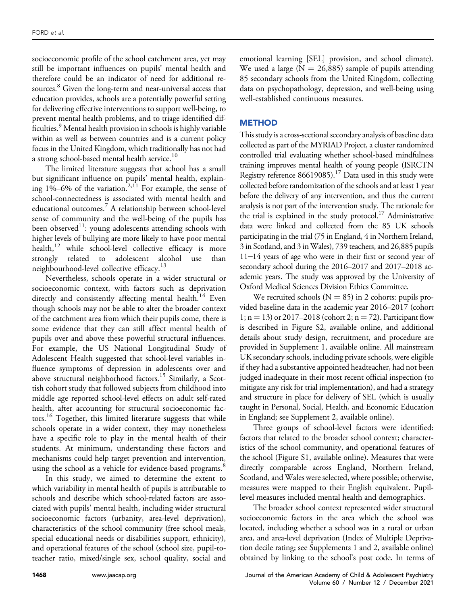socioeconomic profile of the school catchment area, yet may still be important influences on pupils' mental health and therefore could be an indicator of need for additional resources. [8](#page-10-7) Given the long-term and near-universal access that education provides, schools are a potentially powerful setting for delivering effective interventions to support well-being, to prevent mental health problems, and to triage identified dif-ficulties.<sup>[9](#page-10-8)</sup> Mental health provision in schools is highly variable within as well as between countries and is a current policy focus in the United Kingdom, which traditionally has not had a strong school-based mental health service.<sup>10</sup>

The limited literature suggests that school has a small but significant influence on pupils' mental health, explaining  $1\% - 6\%$  of the variation.<sup>[2](#page-10-1), 11</sup> For example, the sense of school-connectedness is associated with mental health and educational outcomes.[7](#page-10-6) A relationship between school-level sense of community and the well-being of the pupils has been observed<sup>11</sup>: young adolescents attending schools with higher levels of bullying are more likely to have poor mental health, $12$  while school-level collective efficacy is more strongly related to adolescent alcohol use than neighbourhood-level collective efficacy.<sup>[13](#page-10-12)</sup>

Nevertheless, schools operate in a wider structural or socioeconomic context, with factors such as deprivation directly and consistently affecting mental health.<sup>[14](#page-10-13)</sup> Even though schools may not be able to alter the broader context of the catchment area from which their pupils come, there is some evidence that they can still affect mental health of pupils over and above these powerful structural influences. For example, the US National Longitudinal Study of Adolescent Health suggested that school-level variables influence symptoms of depression in adolescents over and above structural neighborhood factors.<sup>[15](#page-10-14)</sup> Similarly, a Scottish cohort study that followed subjects from childhood into middle age reported school-level effects on adult self-rated health, after accounting for structural socioeconomic fac-tors.<sup>[16](#page-10-15)</sup> Together, this limited literature suggests that while schools operate in a wider context, they may nonetheless have a specific role to play in the mental health of their students. At minimum, understanding these factors and mechanisms could help target prevention and intervention, using the school as a vehicle for evidence-based programs.<sup>8</sup>

In this study, we aimed to determine the extent to which variability in mental health of pupils is attributable to schools and describe which school-related factors are associated with pupils' mental health, including wider structural socioeconomic factors (urbanity, area-level deprivation), characteristics of the school community (free school meals, special educational needs or disabilities support, ethnicity), and operational features of the school (school size, pupil-toteacher ratio, mixed/single sex, school quality, social and

emotional learning [SEL] provision, and school climate). We used a large ( $N = 26,885$ ) sample of pupils attending 85 secondary schools from the United Kingdom, collecting data on psychopathology, depression, and well-being using well-established continuous measures.

## **METHOD**

This study is a cross-sectional secondary analysis of baseline data collected as part of the MYRIAD Project, a cluster randomized controlled trial evaluating whether school-based mindfulness training improves mental health of young people (ISRCTN Registry reference  $86619085$ .<sup>[17](#page-10-16)</sup> Data used in this study were collected before randomization of the schools and at least 1 year before the delivery of any intervention, and thus the current analysis is not part of the intervention study. The rationale for the trial is explained in the study protocol.<sup>17</sup> Administrative data were linked and collected from the 85 UK schools participating in the trial (75 in England, 4 in Northern Ireland, 3 in Scotland, and 3 in Wales), 739 teachers, and 26,885 pupils 11‒14 years of age who were in their first or second year of secondary school during the 2016–2017 and 2017–2018 academic years. The study was approved by the University of Oxford Medical Sciences Division Ethics Committee.

We recruited schools  $(N = 85)$  in 2 cohorts: pupils provided baseline data in the academic year 2016–2017 (cohort 1;  $n = 13$ ) or 2017–2018 (cohort 2;  $n = 72$ ). Participant flow is described in Figure S2, available online, and additional details about study design, recruitment, and procedure are provided in Supplement 1, available online. All mainstream UK secondary schools, including private schools, were eligible if they had a substantive appointed headteacher, had not been judged inadequate in their most recent official inspection (to mitigate any risk for trial implementation), and had a strategy and structure in place for delivery of SEL (which is usually taught in Personal, Social, Health, and Economic Education in England; see Supplement 2, available online).

Three groups of school-level factors were identified: factors that related to the broader school context; characteristics of the school community, and operational features of the school (Figure S1, available online). Measures that were directly comparable across England, Northern Ireland, Scotland, and Wales were selected, where possible; otherwise, measures were mapped to their English equivalent. Pupillevel measures included mental health and demographics.

The broader school context represented wider structural socioeconomic factors in the area which the school was located, including whether a school was in a rural or urban area, and area-level deprivation (Index of Multiple Deprivation decile rating; see Supplements 1 and 2, available online) obtained by linking to the school's post code. In terms of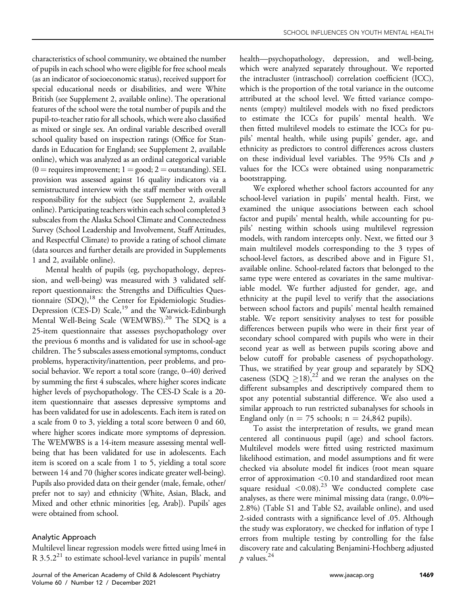characteristics of school community, we obtained the number of pupils in each school who were eligible for free school meals (as an indicator of socioeconomic status), received support for special educational needs or disabilities, and were White British (see Supplement 2, available online). The operational features of the school were the total number of pupils and the pupil-to-teacher ratio for all schools, which were also classified as mixed or single sex. An ordinal variable described overall school quality based on inspection ratings (Office for Standards in Education for England; see Supplement 2, available online), which was analyzed as an ordinal categorical variable  $(0 =$  requires improvement;  $1 =$  good;  $2 =$  outstanding). SEL provision was assessed against 16 quality indicators via a semistructured interview with the staff member with overall responsibility for the subject (see Supplement 2, available online). Participating teachers within each school completed 3 subscales from the Alaska School Climate and Connectedness Survey (School Leadership and Involvement, Staff Attitudes, and Respectful Climate) to provide a rating of school climate (data sources and further details are provided in Supplements 1 and 2, available online).

Mental health of pupils (eg, psychopathology, depression, and well-being) was measured with 3 validated selfreport questionnaires: the Strengths and Difficulties Questionnaire (SDQ),<sup>18</sup> the Center for Epidemiologic Studies-Depression (CES-D) Scale,<sup>19</sup> and the Warwick-Edinburgh Mental Well-Being Scale (WEMWBS).<sup>20</sup> The SDQ is a 25-item questionnaire that assesses psychopathology over the previous 6 months and is validated for use in school-age children. The 5 subscales assess emotional symptoms, conduct problems, hyperactivity/inattention, peer problems, and prosocial behavior. We report a total score (range, 0–40) derived by summing the first 4 subscales, where higher scores indicate higher levels of psychopathology. The CES-D Scale is a 20 item questionnaire that assesses depressive symptoms and has been validated for use in adolescents. Each item is rated on a scale from 0 to 3, yielding a total score between 0 and 60, where higher scores indicate more symptoms of depression. The WEMWBS is a 14-item measure assessing mental wellbeing that has been validated for use in adolescents. Each item is scored on a scale from 1 to 5, yielding a total score between 14 and 70 (higher scores indicate greater well-being). Pupils also provided data on their gender (male, female, other/ prefer not to say) and ethnicity (White, Asian, Black, and Mixed and other ethnic minorities [eg, Arab]). Pupils' ages were obtained from school.

## Analytic Approach

Multilevel linear regression models were fitted using lme4 in  $R$  3.5.2<sup>21</sup> to estimate school-level variance in pupils' mental

health—psychopathology, depression, and well-being, which were analyzed separately throughout. We reported the intracluster (intraschool) correlation coefficient (ICC), which is the proportion of the total variance in the outcome attributed at the school level. We fitted variance components (empty) multilevel models with no fixed predictors to estimate the ICCs for pupils' mental health. We then fitted multilevel models to estimate the ICCs for pupils' mental health, while using pupils' gender, age, and ethnicity as predictors to control differences across clusters on these individual level variables. The 95% CIs and  $p$ values for the ICCs were obtained using nonparametric bootstrapping.

We explored whether school factors accounted for any school-level variation in pupils' mental health. First, we examined the unique associations between each school factor and pupils' mental health, while accounting for pupils' nesting within schools using multilevel regression models, with random intercepts only. Next, we fitted our 3 main multilevel models corresponding to the 3 types of school-level factors, as described above and in Figure S1, available online. School-related factors that belonged to the same type were entered as covariates in the same multivariable model. We further adjusted for gender, age, and ethnicity at the pupil level to verify that the associations between school factors and pupils' mental health remained stable. We report sensitivity analyses to test for possible differences between pupils who were in their first year of secondary school compared with pupils who were in their second year as well as between pupils scoring above and below cutoff for probable caseness of psychopathology. Thus, we stratified by year group and separately by SDQ caseness  $(SDQ \geq 18)$ ,<sup>22</sup> and we reran the analyses on the different subsamples and descriptively compared them to spot any potential substantial difference. We also used a similar approach to run restricted subanalyses for schools in England only ( $n = 75$  schools;  $n = 24,842$  pupils).

To assist the interpretation of results, we grand mean centered all continuous pupil (age) and school factors. Multilevel models were fitted using restricted maximum likelihood estimation, and model assumptions and fit were checked via absolute model fit indices (root mean square error of approximation <0.10 and standardized root mean square residual  $\langle 0.08 \rangle^{23}$  $\langle 0.08 \rangle^{23}$  $\langle 0.08 \rangle^{23}$  We conducted complete case analyses, as there were minimal missing data (range, 0.0%– 2.8%) (Table S1 and Table S2, available online), and used 2-sided contrasts with a significance level of .05. Although the study was exploratory, we checked for inflation of type I errors from multiple testing by controlling for the false discovery rate and calculating Benjamini-Hochberg adjusted  $\n p \text{ values.}^{24}$  $\n p \text{ values.}^{24}$  $\n p \text{ values.}^{24}$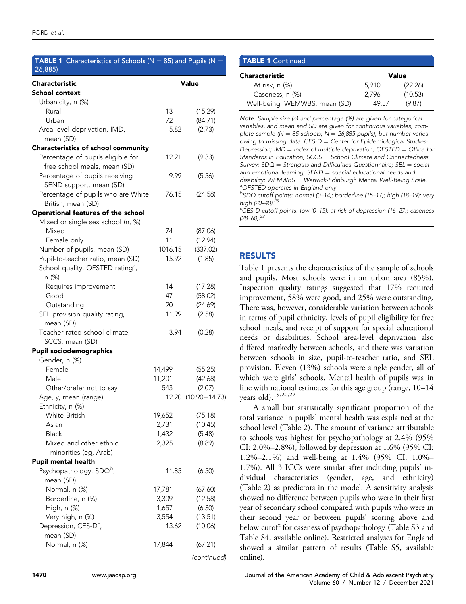<span id="page-3-0"></span>

| <b>TABLE 1</b> Characteristics of Schools ( $N = 85$ ) and Pupils ( $N =$<br>26,885) |         |                     |
|--------------------------------------------------------------------------------------|---------|---------------------|
| Characteristic                                                                       |         | <b>Value</b>        |
| School context                                                                       |         |                     |
| Urbanicity, n (%)                                                                    |         |                     |
| Rural                                                                                | 13      | (15.29)             |
| Urban                                                                                | 72      | (84.71)             |
| Area-level deprivation, IMD,                                                         | 5.82    | (2.73)              |
| mean (SD)                                                                            |         |                     |
| Characteristics of school community                                                  |         |                     |
| Percentage of pupils eligible for                                                    | 12.21   | (9.33)              |
| free school meals, mean (SD)                                                         | 9.99    |                     |
| Percentage of pupils receiving                                                       |         | (5.56)              |
| SEND support, mean (SD)<br>Percentage of pupils who are White                        | 76.15   |                     |
| British, mean (SD)                                                                   |         | (24.58)             |
| Operational features of the school                                                   |         |                     |
| Mixed or single sex school (n, %)                                                    |         |                     |
| Mixed                                                                                | 74      | (87.06)             |
| Female only                                                                          | 11      | (12.94)             |
| Number of pupils, mean (SD)                                                          | 1016.15 | (337.02)            |
| Pupil-to-teacher ratio, mean (SD)                                                    | 15.92   | (1.85)              |
| School quality, OFSTED rating <sup>a</sup> ,                                         |         |                     |
| n (%)                                                                                |         |                     |
| Requires improvement                                                                 | 14      | (17.28)             |
| Good                                                                                 | 47      | (58.02)             |
| Outstanding                                                                          | 20      | (24.69)             |
| SEL provision quality rating,                                                        | 11.99   | (2.58)              |
| mean (SD)<br>Teacher-rated school climate,                                           | 3.94    | (0.28)              |
| SCCS, mean (SD)                                                                      |         |                     |
| <b>Pupil sociodemographics</b>                                                       |         |                     |
| Gender, n (%)                                                                        |         |                     |
| Female                                                                               | 14,499  | (55.25)             |
| Male                                                                                 | 11,201  | (42.68)             |
| Other/prefer not to say                                                              | 543     | (2.07)              |
| Age, y, mean (range)                                                                 |         | 12.20 (10.90-14.73) |
| Ethnicity, n (%)                                                                     |         |                     |
| <b>White British</b>                                                                 | 19,652  | (75.18)             |
| Asian                                                                                | 2,731   | (10.45)             |
| <b>Black</b>                                                                         | 1,432   | (5.48)              |
| Mixed and other ethnic                                                               | 2,325   | (8.89)              |
| minorities (eg, Arab)                                                                |         |                     |
| <b>Pupil mental health</b>                                                           |         |                     |
| Psychopathology, SDQ <sup>b</sup> ,                                                  | 11.85   | (6.50)              |
| mean (SD)                                                                            |         |                     |
| Normal, n (%)                                                                        | 17,781  | (67.60)             |
| Borderline, n (%)                                                                    | 3,309   | (12.58)             |
| High, n (%)                                                                          | 1,657   | (6.30)              |
| Very high, n (%)                                                                     | 3,554   | (13.51)             |
| Depression, CES-D <sup>c</sup> ,                                                     | 13.62   | (10.06)             |
| mean (SD)                                                                            |         |                     |
| Normal, n (%)                                                                        | 17,844  | (67.21)             |

(continued)

## TABLE 1 Continued

| Characteristic                |       | Value   |
|-------------------------------|-------|---------|
| At risk, n (%)                | 5.910 | (22.26) |
| Caseness, n (%)               | 2.796 | (10.53) |
| Well-being, WEMWBS, mean (SD) | 49.57 | (9.87)  |

Note: Sample size (n) and percentage (%) are given for categorical variables, and mean and SD are given for continuous variables; complete sample ( $N = 85$  schools;  $N = 26,885$  pupils), but number varies owing to missing data.  $CES-D = Center$  for Epidemiological Studies-Depression;  $IMD = index of multiple \, \text{deprivation}$ ; OFSTED = Office for Standards in Education;  $SCCS =$  School Climate and Connectedness Survey;  $SDQ =$  Strengths and Difficulties Questionnaire;  $SEL = social$ and emotional learning;  $SEND = special$  educational needs and  $disability$ ; WEMWBS = Warwick-Edinburgh Mental Well-Being Scale. OFSTED operates in England only.

<sup>b</sup>SDQ cutoff points: normal (0–14); borderline (15–17); high (18–19); very high (20–40).<sup>[25](#page-11-3)</sup>

<sup>c</sup>CES-D cutoff points: low (0-15); at risk of depression (16-27); caseness  $(28-60).^{23}$  $(28-60).^{23}$  $(28-60).^{23}$ 

## RESULTS

[Table 1](#page-3-0) presents the characteristics of the sample of schools and pupils. Most schools were in an urban area (85%). Inspection quality ratings suggested that 17% required improvement, 58% were good, and 25% were outstanding. There was, however, considerable variation between schools in terms of pupil ethnicity, levels of pupil eligibility for free school meals, and receipt of support for special educational needs or disabilities. School area-level deprivation also differed markedly between schools, and there was variation between schools in size, pupil-to-teacher ratio, and SEL provision. Eleven (13%) schools were single gender, all of which were girls' schools. Mental health of pupils was in line with national estimates for this age group (range, 10–14 years old)[.19](#page-10-18)[,20,](#page-10-19)[22](#page-11-0)

A small but statistically significant proportion of the total variance in pupils' mental health was explained at the school level ([Table 2](#page-4-0)). The amount of variance attributable to schools was highest for psychopathology at 2.4% (95% CI: 2.0%–2.8%), followed by depression at 1.6% (95% CI: 1.2%–2.1%) and well-being at 1.4% (95% CI: 1.0%– 1.7%). All 3 ICCs were similar after including pupils' individual characteristics (gender, age, and ethnicity) ([Table 2](#page-4-0)) as predictors in the model. A sensitivity analysis showed no difference between pupils who were in their first year of secondary school compared with pupils who were in their second year or between pupils' scoring above and below cutoff for caseness of psychopathology (Table S3 and Table S4, available online). Restricted analyses for England showed a similar pattern of results (Table S5, available online).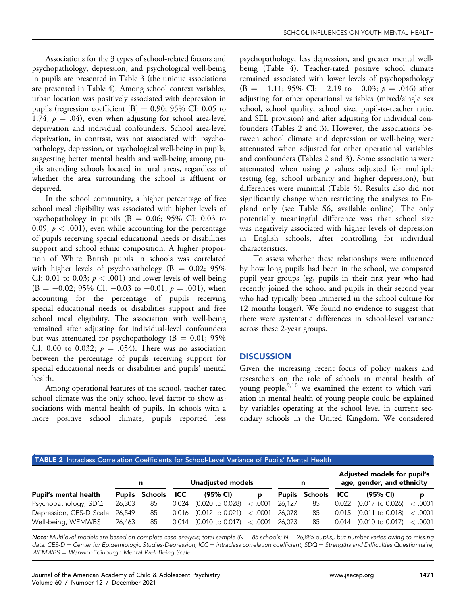Associations for the 3 types of school-related factors and psychopathology, depression, and psychological well-being in pupils are presented in [Table 3](#page-5-0) (the unique associations are presented in [Table 4\)](#page-7-0). Among school context variables, urban location was positively associated with depression in pupils (regression coefficient  $[B] = 0.90; 95\%$  CI: 0.05 to 1.74;  $p = .04$ ), even when adjusting for school area-level deprivation and individual confounders. School area-level deprivation, in contrast, was not associated with psychopathology, depression, or psychological well-being in pupils, suggesting better mental health and well-being among pupils attending schools located in rural areas, regardless of whether the area surrounding the school is affluent or deprived.

In the school community, a higher percentage of free school meal eligibility was associated with higher levels of psychopathology in pupils  $(B = 0.06; 95\% \text{ CI: } 0.03 \text{ to } 0.01)$ 0.09;  $p < .001$ ), even while accounting for the percentage of pupils receiving special educational needs or disabilities support and school ethnic composition. A higher proportion of White British pupils in schools was correlated with higher levels of psychopathology ( $B = 0.02$ ; 95% CI: 0.01 to 0.03;  $p < .001$ ) and lower levels of well-being  $(B = -0.02; 95\% \text{ CI: } -0.03 \text{ to } -0.01; p = .001$ , when accounting for the percentage of pupils receiving special educational needs or disabilities support and free school meal eligibility. The association with well-being remained after adjusting for individual-level confounders but was attenuated for psychopathology ( $B = 0.01$ ; 95% CI: 0.00 to 0.032;  $p = .054$ ). There was no association between the percentage of pupils receiving support for special educational needs or disabilities and pupils' mental health.

Among operational features of the school, teacher-rated school climate was the only school-level factor to show associations with mental health of pupils. In schools with a more positive school climate, pupils reported less psychopathology, less depression, and greater mental wellbeing ([Table 4](#page-7-0)). Teacher-rated positive school climate remained associated with lower levels of psychopathology  $(B = -1.11; 95\% \text{ CI: } -2.19 \text{ to } -0.03; p = .046) \text{ after}$ adjusting for other operational variables (mixed/single sex school, school quality, school size, pupil-to-teacher ratio, and SEL provision) and after adjusting for individual confounders [\(Tables 2](#page-4-0) and [3\)](#page-5-0). However, the associations between school climate and depression or well-being were attenuated when adjusted for other operational variables and confounders ([Tables 2](#page-4-0) and [3\)](#page-5-0). Some associations were attenuated when using  $p$  values adjusted for multiple testing (eg, school urbanity and higher depression), but differences were minimal [\(Table 5\)](#page-8-0). Results also did not significantly change when restricting the analyses to England only (see Table S6, available online). The only potentially meaningful difference was that school size was negatively associated with higher levels of depression in English schools, after controlling for individual characteristics.

To assess whether these relationships were influenced by how long pupils had been in the school, we compared pupil year groups (eg, pupils in their first year who had recently joined the school and pupils in their second year who had typically been immersed in the school culture for 12 months longer). We found no evidence to suggest that there were systematic differences in school-level variance across these 2-year groups.

### **DISCUSSION**

Given the increasing recent focus of policy makers and researchers on the role of schools in mental health of young people,  $9,10$  $9,10$  we examined the extent to which variation in mental health of young people could be explained by variables operating at the school level in current secondary schools in the United Kingdom. We considered

#### <span id="page-4-0"></span>TABLE 2 Intraclass Correlation Coefficients for School-Level Variance of Pupils' Mental Health

|                                |        | n                         | Unadjusted models                           | n | Adjusted models for pupil's<br>age, gender, and ethnicity |  |                                  |   |  |
|--------------------------------|--------|---------------------------|---------------------------------------------|---|-----------------------------------------------------------|--|----------------------------------|---|--|
| <b>Pupil's mental health</b>   |        | <b>Pupils Schools ICC</b> | (95% CI)                                    | D | <b>Pupils Schools ICC</b>                                 |  | (95% CI)                         | p |  |
| Psychopathology, SDQ           | 26.303 | 85                        | $0.024$ (0.020 to 0.028) < .0001 26,127     |   | 85                                                        |  | $0.022$ (0.017 to 0.026) < .0001 |   |  |
| Depression, CES-D Scale 26,549 |        | 85                        | $0.016$ (0.012 to 0.021) $\lt$ 0.001 26,078 |   | 85                                                        |  | $0.015$ (0.011 to 0.018) < .0001 |   |  |
| Well-being, WEMWBS             | 26.463 | 85                        | $0.014$ (0.010 to 0.017) $< .0001$ 26,073   |   | 85                                                        |  | $0.014$ (0.010 to 0.017) < .0001 |   |  |

Note: Multilevel models are based on complete case analysis; total sample (N = 85 schools; N = 26,885 pupils), but number varies owing to missing data. CES-D = Center for Epidemiologic Studies-Depression; ICC = intraclass correlation coefficient; SDQ = Strengths and Difficulties Questionnaire; WEMWBS = Warwick-Edinburgh Mental Well-Being Scale.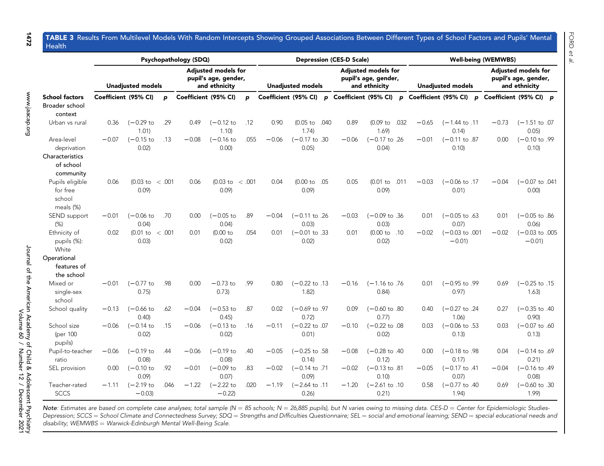#### TABLE 3 Results From Multilevel Models With Random Intercepts Showing Grouped Associations Between Different Types of School Factors and Pupils' Mental Health

<span id="page-5-0"></span>

|                                                    |                      |                                     |       | Psychopathology (SDQ) |                                                              |       |                          |                                   |      | <b>Depression (CES-D Scale)</b>                                     |                                    | <b>Well-being (WEMWBS)</b> |                                               |                                                                     |              |         |                                      |  |
|----------------------------------------------------|----------------------|-------------------------------------|-------|-----------------------|--------------------------------------------------------------|-------|--------------------------|-----------------------------------|------|---------------------------------------------------------------------|------------------------------------|----------------------------|-----------------------------------------------|---------------------------------------------------------------------|--------------|---------|--------------------------------------|--|
|                                                    |                      | <b>Unadjusted models</b>            |       |                       | Adjusted models for<br>pupil's age, gender,<br>and ethnicity |       | <b>Unadjusted models</b> |                                   |      | <b>Adjusted models for</b><br>pupil's age, gender,<br>and ethnicity | <b>Unadjusted models</b>           |                            |                                               | <b>Adjusted models for</b><br>pupil's age, gender,<br>and ethnicity |              |         |                                      |  |
| <b>School factors</b><br>Broader school<br>context | Coefficient (95% CI) |                                     | p     | Coefficient (95% CI)  |                                                              | p     | Coefficient (95% CI)     |                                   |      |                                                                     |                                    |                            | p Coefficient (95% CI) p Coefficient (95% CI) |                                                                     | $\mathbf{p}$ |         | Coefficient (95% CI) p               |  |
| Urban vs rural                                     | 0.36                 | $(-0.29)$ to<br>1.01                | .29   | 0.49                  | $(-0.12)$ to<br>1.10                                         | .12   | 0.90                     | $(0.05)$ to<br>1.74               | .040 | 0.89                                                                | $(0.09)$ to<br>1.69                | .032                       | $-0.65$                                       | $(-1.44 \text{ to } .11$<br>0.14                                    |              | $-0.73$ | $(-1.51$ to .07<br>0.05              |  |
| Area-level<br>deprivation                          | $-0.07$              | $(-0.15)$<br>0.02)                  | .13   | $-0.08$               | $(-0.16)$<br>0.00                                            | .055  | $-0.06$                  | $(-0.17 \text{ to } .30$<br>0.05  |      | $-0.06$                                                             | $(-0.17 \text{ to } 0.26)$<br>0.04 |                            | $-0.01$                                       | $(-0.11$ to .87<br>0.10                                             |              | 0.00    | $(-0.10 \text{ to } .99)$<br>0.10    |  |
| Characteristics<br>of school<br>community          |                      |                                     |       |                       |                                                              |       |                          |                                   |      |                                                                     |                                    |                            |                                               |                                                                     |              |         |                                      |  |
| Pupils eligible<br>for free<br>school<br>meals (%) | 0.06                 | $(0.03 \text{ to } < .001)$<br>0.09 |       | 0.06                  | $(0.03)$ to<br>0.09                                          | <.001 | 0.04                     | $(0.00 \text{ to } .05)$<br>0.09  |      | 0.05                                                                | $(0.01)$ to<br>0.09                | .011                       | $-0.03$                                       | $(-0.06 \text{ to } .17)$<br>0.01)                                  |              | $-0.04$ | $(-0.07$ to $.041$<br>0.00           |  |
| SEND support<br>$(\%)$                             | $-0.01$              | $(-0.06)$ to<br>0.04)               | .70   | 0.00                  | $(-0.05)$ to<br>0.04)                                        | .89   | $-0.04$                  | $(-0.11$ to .26<br>0.03           |      | $-0.03$                                                             | $(-0.09$ to $.36$<br>0.03          |                            | 0.01                                          | $(-0.05$ to $.63$<br>0.07)                                          |              | 0.01    | $(-0.05$ to .86<br>0.06              |  |
| Ethnicity of<br>pupils (%):<br>White               | 0.02                 | $(0.01$ to<br>0.03                  | <.001 | 0.01                  | $(0.00)$ to<br>0.02                                          | .054  | 0.01                     | $(-0.01$ to .33<br>0.02           |      | 0.01                                                                | (0.00 to .10)<br>0.02              |                            | $-0.02$                                       | $(-0.03 \text{ to } .001$<br>$-0.01$                                |              | $-0.02$ | $(-0.03 \text{ to } .005$<br>$-0.01$ |  |
| Operational<br>features of<br>the school           |                      |                                     |       |                       |                                                              |       |                          |                                   |      |                                                                     |                                    |                            |                                               |                                                                     |              |         |                                      |  |
| Mixed or<br>single-sex<br>school                   | $-0.01$              | $(-0.77)$ to<br>0.75                | .98   | 0.00                  | $-0.73$ to<br>0.73)                                          | .99   | 0.80                     | $(-0.22 \text{ to } .13)$<br>1.82 |      | $-0.16$                                                             | $(-1.16 \text{ to } .76)$<br>0.84  |                            | 0.01                                          | $(-0.95$ to $.99$<br>0.97                                           |              | 0.69    | $(-0.25 \text{ to } .15$<br>1.63)    |  |
| School quality                                     | $-0.13$              | $(-0.66)$ to<br>0.40                | .62   | $-0.04$               | (-0.53 to<br>0.45                                            | .87   | 0.02                     | $(-0.69$ to .97<br>0.72           |      | 0.09                                                                | $(-0.60 \text{ to } .80)$<br>0.77  |                            | 0.40                                          | $(-0.27$ to .24<br>1.06                                             |              | 0.27    | $(-0.35$ to .40<br>0.90              |  |
| School size<br>(per 100<br>pupils)                 | $-0.06$              | $(-0.14)$<br>0.02)                  | .15   | $-0.06$               | $(-0.13)$ to<br>0.02)                                        | .16   | $-0.11$                  | $(-0.22 \text{ to } .07$<br>0.01) |      | $-0.10$                                                             | $(-0.22 \text{ to } .08)$<br>0.02) |                            | 0.03                                          | $(-0.06 \text{ to } .53)$<br>0.13)                                  |              | 0.03    | $(-0.07 \text{ to } .60$<br>0.13)    |  |
| Pupil-to-teacher<br>ratio                          | $-0.06$              | $(-0.19)$ to<br>0.08                | .44   | $-0.06$               | $(-0.19)$ to<br>0.08                                         | .40   | $-0.05$                  | $(-0.25 \text{ to } .58)$<br>0.14 |      | $-0.08$                                                             | $(-0.28 \text{ to } .40$<br>0.12   |                            | 0.00                                          | $(-0.18 \text{ to } .98)$<br>0.17                                   |              | 0.04    | $(-0.14 \text{ to } .69)$<br>0.21    |  |
| SEL provision                                      | 0.00                 | $(-0.10)$ to<br>0.09                | .92   | $-0.01$               | $(-0.09)$ to<br>0.07                                         | .83   | $-0.02$                  | $(-0.14 \text{ to } .71$<br>0.09  |      | $-0.02$                                                             | $(-0.13 \text{ to } .81$<br>0.10   |                            | $-0.05$                                       | $(-0.17 \text{ to } .41$<br>0.07                                    |              | $-0.04$ | $(-0.16 \text{ to } .49)$<br>0.08)   |  |
| Teacher-rated<br><b>SCCS</b>                       | $-1.11$              | $(-2.19)$ to<br>$-0.03$             | .046  | $-1.22$               | $(-2.22$ to<br>$-0.22$                                       | .020  | $-1.19$                  | $(-2.64 \text{ to } .11$<br>0.26  |      | $-1.20$                                                             | $(-2.61$ to .10<br>0.21            |                            | 0.58                                          | $(-0.77$ to .40<br>1.94)                                            |              | 0.69    | $(-0.60 \text{ to } .30)$<br>1.99    |  |

Note: Estimates are based on complete case analyses; total sample (N = 85 schools; N = 26,885 pupils), but N varies owing to missing data. CES-D = Center for Epidemiologic Studies-Depression; SCCS = School Climate and Connectedness Survey; SDQ = Strengths and Difficulties Questionnaire; SEL = social and emotional learning; SEND = special educational needs and disability; WEMWBS = Warwick-Edinburgh Mental Well-Being Scale.

1472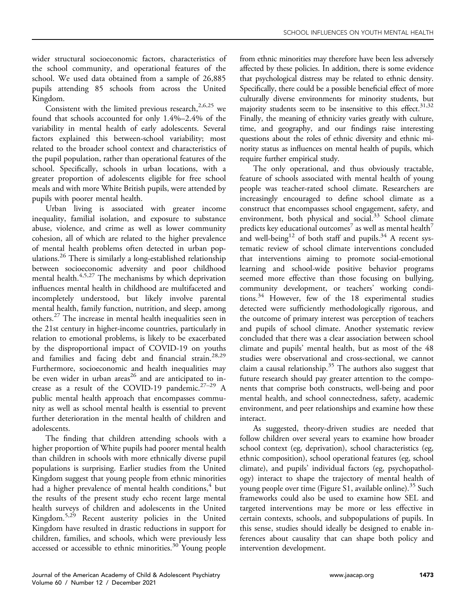wider structural socioeconomic factors, characteristics of the school community, and operational features of the school. We used data obtained from a sample of 26,885 pupils attending 85 schools from across the United Kingdom.

Consistent with the limited previous research,  $2,6,25$  $2,6,25$  $2,6,25$  we found that schools accounted for only 1.4%–2.4% of the variability in mental health of early adolescents. Several factors explained this between-school variability; most related to the broader school context and characteristics of the pupil population, rather than operational features of the school. Specifically, schools in urban locations, with a greater proportion of adolescents eligible for free school meals and with more White British pupils, were attended by pupils with poorer mental health.

Urban living is associated with greater income inequality, familial isolation, and exposure to substance abuse, violence, and crime as well as lower community cohesion, all of which are related to the higher prevalence of mental health problems often detected in urban populations[.26](#page-11-4) There is similarly a long-established relationship between socioeconomic adversity and poor childhood mental health.<sup>[4,](#page-10-3)[5,](#page-10-4)[27](#page-11-5)</sup> The mechanisms by which deprivation influences mental health in childhood are multifaceted and incompletely understood, but likely involve parental mental health, family function, nutrition, and sleep, among others.[27](#page-11-5) The increase in mental health inequalities seen in the 21st century in higher-income countries, particularly in relation to emotional problems, is likely to be exacerbated by the disproportional impact of COVID-19 on youths and families and facing debt and financial strain.<sup>28[,29](#page-11-7)</sup> Furthermore, socioeconomic and health inequalities may be even wider in urban areas<sup>[26](#page-11-4)</sup> and are anticipated to increase as a result of the COVID-19 pandemic.<sup>27-29</sup> A public mental health approach that encompasses community as well as school mental health is essential to prevent further deterioration in the mental health of children and adolescents.

The finding that children attending schools with a higher proportion of White pupils had poorer mental health than children in schools with more ethnically diverse pupil populations is surprising. Earlier studies from the United Kingdom suggest that young people from ethnic minorities had a higher prevalence of mental health conditions, $4$  but the results of the present study echo recent large mental health surveys of children and adolescents in the United Kingdom.[5](#page-10-4)[,29](#page-11-7) Recent austerity policies in the United Kingdom have resulted in drastic reductions in support for children, families, and schools, which were previously less accessed or accessible to ethnic minorities.<sup>[30](#page-11-8)</sup> Young people from ethnic minorities may therefore have been less adversely affected by these policies. In addition, there is some evidence that psychological distress may be related to ethnic density. Specifically, there could be a possible beneficial effect of more culturally diverse environments for minority students, but majority students seem to be insensitive to this effect.  $31,32$  $31,32$ Finally, the meaning of ethnicity varies greatly with culture, time, and geography, and our findings raise interesting questions about the roles of ethnic diversity and ethnic minority status as influences on mental health of pupils, which require further empirical study.

The only operational, and thus obviously tractable, feature of schools associated with mental health of young people was teacher-rated school climate. Researchers are increasingly encouraged to define school climate as a construct that encompasses school engagement, safety, and environment, both physical and social. $33$  School climate predicts key educational outcomes<sup>[7](#page-10-6)</sup> as well as mental health<sup>7</sup> and well-being<sup>[12](#page-10-11)</sup> of both staff and pupils.<sup>[34](#page-11-12)</sup> A recent systematic review of school climate interventions concluded that interventions aiming to promote social-emotional learning and school-wide positive behavior programs seemed more effective than those focusing on bullying, community development, or teachers' working conditions.[34](#page-11-12) However, few of the 18 experimental studies detected were sufficiently methodologically rigorous, and the outcome of primary interest was perception of teachers and pupils of school climate. Another systematic review concluded that there was a clear association between school climate and pupils' mental health, but as most of the 48 studies were observational and cross-sectional, we cannot claim a causal relationship.<sup>[35](#page-11-13)</sup> The authors also suggest that future research should pay greater attention to the components that comprise both constructs, well-being and poor mental health, and school connectedness, safety, academic environment, and peer relationships and examine how these interact.

As suggested, theory-driven studies are needed that follow children over several years to examine how broader school context (eg, deprivation), school characteristics (eg, ethnic composition), school operational features (eg, school climate), and pupils' individual factors (eg, psychopathology) interact to shape the trajectory of mental health of young people over time (Figure S1, available online).<sup>35</sup> Such frameworks could also be used to examine how SEL and targeted interventions may be more or less effective in certain contexts, schools, and subpopulations of pupils. In this sense, studies should ideally be designed to enable inferences about causality that can shape both policy and intervention development.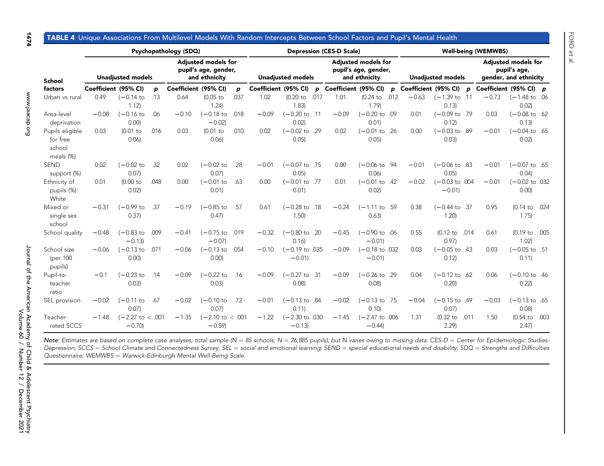| <b>I TABLE 4</b> Unio |  |
|-----------------------|--|
|                       |  |

### que Associations From Multilevel Models With Random Intercepts Between School Factors and Pupil's Mental Health

<span id="page-7-0"></span>

|                                                    |                      |                                        |      | Psychopathology (SDQ)                                               |                                        |      |                      |                                      |      | <b>Depression (CES-D Scale)</b>                                     |                                       | <b>Well-being (WEMWBS)</b> |                        |                                                                     |      |                        |                                    |      |
|----------------------------------------------------|----------------------|----------------------------------------|------|---------------------------------------------------------------------|----------------------------------------|------|----------------------|--------------------------------------|------|---------------------------------------------------------------------|---------------------------------------|----------------------------|------------------------|---------------------------------------------------------------------|------|------------------------|------------------------------------|------|
| School<br>factors                                  |                      | <b>Unadjusted models</b>               |      | <b>Adjusted models for</b><br>pupil's age, gender,<br>and ethnicity |                                        |      |                      | <b>Unadjusted models</b>             |      | <b>Adjusted models for</b><br>pupil's age, gender,<br>and ethnicity | <b>Unadjusted models</b>              |                            |                        | <b>Adjusted models for</b><br>pupil's age,<br>gender, and ethnicity |      |                        |                                    |      |
|                                                    | Coefficient (95% CI) |                                        | p    |                                                                     | Coefficient (95% CI)                   | p    | Coefficient (95% CI) |                                      | D    | Coefficient (95% CI)                                                |                                       | p                          | Coefficient (95% CI) p |                                                                     |      | Coefficient (95% CI) p |                                    |      |
| Urban vs rural                                     | 0.49                 | (-0.14 to<br>1.12                      | .13  | 0.64                                                                | $(0.05$ to<br>1.24                     | .037 | 1.02                 | $(0.20)$ to<br>1.83                  | .017 | 1.01                                                                | (0.24)<br>1.79                        | .012                       | $-0.63$                | $(-1.39 \text{ to } .11$<br>0.13                                    |      | $-0.73$                | $(-1.48 \text{ to } .06$<br>0.02   |      |
| Area-level<br>deprivation                          | $-0.08$              | $(-0.16)$<br>0.00                      | .06  | $-0.10$                                                             | $(-0.18)$ to<br>$-0.02$                | .018 | $-0.09$              | $(-0.20 \text{ to } .11$<br>0.02     |      | $-0.09$                                                             | $(-0.20 \text{ to } .09)$<br>0.01)    |                            | 0.01                   | $(-0.09$ to .79<br>0.12                                             |      | 0.03                   | $(-0.08 \text{ to } .62)$<br>0.13  |      |
| Pupils eligible<br>for free<br>school<br>meals (%) | 0.03                 | $(0.01)$ to<br>0.06                    | .016 | 0.03                                                                | $(0.01$ to<br>0.06                     | .010 | 0.02                 | $(-0.02 \text{ to } .29)$<br>0.05)   |      | 0.02                                                                | $(-0.01 \text{ to } .26)$<br>0.05     |                            | 0.00                   | $(-0.03 \text{ to } .89)$<br>0.03                                   |      | $-0.01$                | $(-0.04 \text{ to } .65$<br>0.02)  |      |
| <b>SEND</b><br>support (%)                         | 0.02                 | $(-0.02)$ to<br>0.07)                  | .32  | 0.02                                                                | $(-0.02)$ to<br>0.07                   | .28  | $-0.01$              | $(-0.07 \text{ to } .75)$<br>0.05)   |      | 0.00                                                                | $(-0.06 \text{ to } .94)$<br>0.06     |                            | $-0.01$                | $(-0.06 \text{ to } .83)$<br>0.05                                   |      | $-0.01$                | $(-0.07 \text{ to } .65$<br>0.04)  |      |
| Ethnicity of<br>pupils (%):<br>White               | 0.01                 | (0.00 to<br>0.02                       | .048 | 0.00                                                                | $(-0.01)$ to<br>0.01)                  | .63  | 0.00                 | $(-0.01$ to .77<br>0.01)             |      | 0.01                                                                | $(-0.01 \text{ to } .42)$<br>0.02     |                            | $-0.02$                | $(-0.03 \text{ to } .004)$<br>$-0.01$                               |      | $-0.01$                | $(-0.02 \text{ to } .032)$<br>0.00 |      |
| Mixed or<br>single sex<br>school                   | $-0.31$              | (-0.99 to<br>0.37)                     | .37  | $-0.19$                                                             | $(-0.85)$ to<br>0.47                   | .57  | 0.61                 | $(-0.28 \text{ to } .18)$<br>1,50    |      | $-0.24$                                                             | $(-1.11$ to .59<br>0.63               |                            | 0.38                   | $(-0.44 \text{ to } .37)$<br>1.20                                   |      | 0.95                   | $(0.14$ to<br>1.75)                | .024 |
| School quality                                     | $-0.48$              | $(-0.83)$ to<br>$-0.13$                | .009 | $-0.41$                                                             | $(-0.75)$ to<br>$-0.07$                | .019 | $-0.32$              | $(-0.80 \text{ to } .20$<br>0.16     |      | $-0.45$                                                             | $(-0.90 \text{ to } .06$<br>$-0.01$   |                            | 0.55                   | $(0.12$ to<br>0.97)                                                 | .014 | 0.61                   | (0.19 to .005<br>1.02              |      |
| School size<br>(per 100<br>pupils)                 | $-0.06$              | $(-0.13)$ to<br>0.00                   | .071 | $-0.06$                                                             | $(-0.13)$ to<br>0.00                   | .054 | $-0.10$              | $(-0.19 \text{ to } .035$<br>$-0.01$ |      | $-0.09$                                                             | $(-0.18 \text{ to } .032)$<br>$-0.01$ |                            | 0.03                   | $(-0.05 \text{ to } .43)$<br>0.12                                   |      | 0.03                   | $(-0.05 \text{ to } .51$<br>0.11   |      |
| Pupil-to-<br>teacher<br>ratio                      | $-0.1$               | $(-0.23)$ to<br>0.03)                  | .14  | $-0.09$                                                             | $(-0.22$ to<br>0.03                    | .16  | $-0.09$              | $(-0.27$ to .31<br>0.08              |      | $-0.09$                                                             | $(-0.26 \text{ to } .29)$<br>0.08     |                            | 0.04                   | $(-0.12 \text{ to } .62)$<br>0.20                                   |      | 0.06                   | $(-0.10 \text{ to } .46$<br>0.22   |      |
| SEL provision                                      | $-0.02$              | $(-0.11)$ to<br>0.07                   | .67  | $-0.02$                                                             | $(-0.10)$ to<br>0.07                   | .72  | $-0.01$              | $(-0.13 \text{ to } .84)$<br>0.11    |      | $-0.02$                                                             | $(-0.13 \text{ to } .75)$<br>0.10     |                            | $-0.04$                | $(-0.15 \text{ to } .49)$<br>0.07                                   |      | $-0.03$                | $(-0.13 \text{ to } .65$<br>0.08   |      |
| Teacher-<br>rated SCCS                             | $-1.48$              | $(-2.27 \text{ to } < .001$<br>$-0.70$ |      | $-1.35$                                                             | $(-2.10 \text{ to } < .001$<br>$-0.59$ |      | $-1.22$              | $(-2.30 \text{ to } .030$<br>$-0.13$ |      | $-1.45$                                                             | $(-2.47 \text{ to } .006$<br>$-0.44$  |                            | 1.31                   | $(0.32)$ to<br>2.29                                                 | .011 | 1.50                   | (0.54)<br>2.47                     | .003 |

Note: Estimates are based on complete case analyses; total sample (N = 85 schools; N = 26,885 pupils), but N varies owing to missing data. CES-D = Center for Epidemiologic Studies-Depression; SCCS = School Climate and Connectedness Survey; SEL = social and emotional learning; SEND = special educational needs and disability; SDQ = Strengths and Difficulties Questionnaire; WEMWBS = Warwick-Edinburgh Mental Well-Being Scale.

1474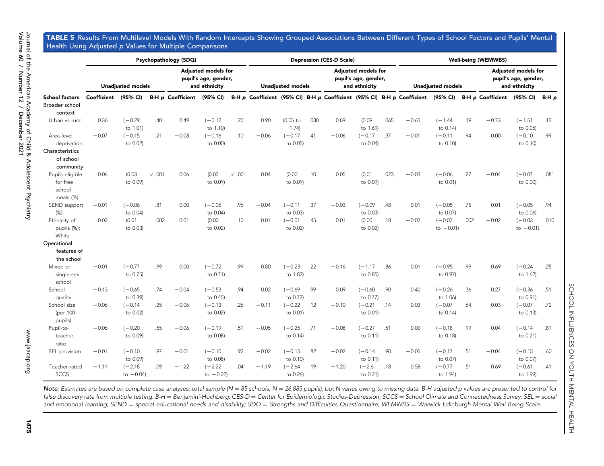TABLE 5 Results From Multilevel Models With Random Intercepts Showing Grouped Associations Between Different Types of School Factors and Pupils' Mental Health Using Adjusted p Values for Multiple Comparisons

<span id="page-8-0"></span>

|                                                    |                      |                           |        | Psychopathology (SDQ)                                        |                           |       |         |                          |      | <b>Depression (CES-D Scale)</b>                                     |                       |      | <b>Well-being (WEMWBS)</b>                                                       |                           |      |                                                                     |                           |       |  |
|----------------------------------------------------|----------------------|---------------------------|--------|--------------------------------------------------------------|---------------------------|-------|---------|--------------------------|------|---------------------------------------------------------------------|-----------------------|------|----------------------------------------------------------------------------------|---------------------------|------|---------------------------------------------------------------------|---------------------------|-------|--|
| <b>School factors</b><br>Broader school            |                      | <b>Unadjusted models</b>  |        | Adjusted models for<br>pupil's age, gender,<br>and ethnicity |                           |       |         | <b>Unadjusted models</b> |      | <b>Adjusted models for</b><br>pupil's age, gender,<br>and ethnicity |                       |      | <b>Unadjusted models</b>                                                         |                           |      | <b>Adjusted models for</b><br>pupil's age, gender,<br>and ethnicity |                           |       |  |
|                                                    | Coefficient (95% CI) |                           |        | <b>B-H p Coefficient</b>                                     | (95% CI)                  |       |         |                          |      |                                                                     |                       |      | B-H p Coefficient (95% CI) B-H p Coefficient (95% CI) B-H p Coefficient (95% CI) |                           |      | B-H p Coefficient (95% CI)                                          |                           | B-H p |  |
| context<br>Urban vs rural                          | 0.36                 | $(-0.29)$<br>to 1.01)     | .40    | 0.49                                                         | $(-0.12)$<br>to 1.10)     | .20   | 0.90    | (0.05 to<br>1.74)        | .080 | 0.89                                                                | (0.09)<br>to 1.69)    | .065 | $-0.65$                                                                          | $(-1.44)$<br>to 0.14)     | .19  | $-0.73$                                                             | $(-1.51)$<br>to 0.05)     | .13   |  |
| Area-level<br>deprivation                          | $-0.07$              | $(-0.15)$<br>to 0.02)     | .21    | $-0.08$                                                      | $(-0.16)$<br>to 0.00)     | .10   | $-0.06$ | $(-0.17)$<br>to 0.05)    | .41  | $-0.06$                                                             | $(-0.17)$<br>to 0.04) | .37  | $-0.01$                                                                          | $(-0.11)$<br>to 0.10)     | .94  | 0.00                                                                | $(-0.10)$<br>to 0.10)     | .99   |  |
| Characteristics<br>of school<br>community          |                      |                           |        |                                                              |                           |       |         |                          |      |                                                                     |                       |      |                                                                                  |                           |      |                                                                     |                           |       |  |
| Pupils eligible<br>for free<br>school<br>meals (%) | 0.06                 | (0.03)<br>to 0.09)        | < .001 | 0.06                                                         | (0.03)<br>to 0.09)        | <.001 | 0.04    | (0.00)<br>to 0.09)       | .10  | 0.05                                                                | (0.01)<br>to 0.09)    | .023 | $-0.03$                                                                          | $(-0.06)$<br>to 0.01)     | .27  | $-0.04$                                                             | $(-0.07)$<br>to 0.00)     | .081  |  |
| SEND support<br>(%)                                | $-0.01$              | $(-0.06)$<br>to 0.04)     | .81    | 0.00                                                         | $(-0.05)$<br>to 0.04)     | .96   | $-0.04$ | $(-0.11)$<br>to 0.03)    | .37  | $-0.03$                                                             | $(-0.09)$<br>to 0.03) | .48  | 0.01                                                                             | $(-0.05)$<br>to 0.07)     | .75  | 0.01                                                                | $(-0.05)$<br>to 0.06)     | .94   |  |
| Ethnicity of<br>pupils (%):<br>White               | 0.02                 | (0.01)<br>to 0.03)        | .002   | 0.01                                                         | (0.00)<br>to 0.02)        | .10   | 0.01    | $(-0.01)$<br>to 0.02)    | .45  | 0.01                                                                | (0.00)<br>to 0.02)    | .18  | $-0.02$                                                                          | $(-0.03)$<br>to $-0.01$ ) | .002 | $-0.02$                                                             | $(-0.03)$<br>to $-0.01$ ) | .010  |  |
| Operational<br>features of<br>the school           |                      |                           |        |                                                              |                           |       |         |                          |      |                                                                     |                       |      |                                                                                  |                           |      |                                                                     |                           |       |  |
| Mixed or<br>single-sex<br>school                   | $-0.01$              | $(-0.77)$<br>to 0.75)     | .99    | 0.00                                                         | $(-0.72)$<br>to 0.71)     | .99   | 0.80    | $(-0.23)$<br>to 1.82)    | .22  | $-0.16$                                                             | $(-1.17)$<br>to 0.85) | .86  | 0.01                                                                             | $(-0.95)$<br>to 0.97)     | .99  | 0.69                                                                | $(-0.24)$<br>to 1.62)     | .25   |  |
| School<br>quality                                  | $-0.13$              | $(-0.65)$<br>to 0.39)     | .74    | $-0.04$                                                      | $(-0.53)$<br>to 0.45)     | .94   | 0.02    | $(-0.69)$<br>to 0.72)    | .99  | 0.09                                                                | $(-0.60)$<br>to 0.77) | .90  | 0.40                                                                             | $(-0.26)$<br>to 1.06)     | .36  | 0.27                                                                | $(-0.36)$<br>to 0.91)     | .51   |  |
| School size<br>(per 100<br>pupils)                 | $-0.06$              | $(-0.14)$<br>to 0.02)     | .25    | $-0.06$                                                      | $(-0.13)$<br>to 0.02)     | .26   | $-0.11$ | $(-0.22)$<br>to 0.01)    | .12  | $-0.10$                                                             | $(-0.21)$<br>to 0.01) | .14  | 0.03                                                                             | $(-0.07)$<br>to 0.14)     | .64  | 0.03                                                                | $(-0.07)$<br>to 0.13)     | .72   |  |
| Pupil-to-<br>teacher<br>ratio                      | $-0.06$              | $(-0.20)$<br>to 0.09)     | .55    | $-0.06$                                                      | $(-0.19)$<br>to 0.08)     | .51   | $-0.05$ | $(-0.25)$<br>to 0.14)    | .71  | $-0.08$                                                             | $(-0.27)$<br>to 0.11) | .51  | 0.00                                                                             | $(-0.18)$<br>to 0.18)     | .99  | 0.04                                                                | $(-0.14)$<br>to 0.21)     | .81   |  |
| SEL provision                                      | $-0.01$              | $(-0.10)$<br>to 0.09)     | .97    | $-0.01$                                                      | $(-0.10)$<br>to 0.08)     | .92   | $-0.02$ | $(-0.15)$<br>to 0.10)    | .82  | $-0.02$                                                             | $(-0.14)$<br>to 0.11) | .90  | $-0.05$                                                                          | $(-0.17)$<br>to 0.07)     | .51  | $-0.04$                                                             | $(-0.15)$<br>to 0.07)     | .60   |  |
| Teacher-rated<br><b>SCCS</b>                       | $-1.11$              | $(-2.18)$<br>to $-0.04$ ) | .09    | $-1.22$                                                      | $(-2.22)$<br>to $-0.22$ ) | .041  | $-1.19$ | $(-2.64)$<br>to 0.26)    | .19  | $-1.20$                                                             | $(-2.6)$<br>to 0.21)  | .18  | 0.58                                                                             | $(-0.77)$<br>to 1.94)     | .51  | 0.69                                                                | $(-0.61)$<br>to 1.99)     | .41   |  |

 $\mathsf{Note}$ : Estimates are based on complete case analyses; total sample (N = 85 schools; N = 26,885 pupils), but N varies owing to missing data. B-H adjusted p values are presented to control for false discovery rate from multiple testing. B-H = Benjamini-Hochberg; CES-D = Center for Epidemiologic Studies-Depression; SCCS = School Climate and Connectedness Survey; SEL = social and emotional learning; SEND = special educational needs and disability; SDQ = Strengths and Difficulties Questionnaire; WEMWBS = Warwick-Edinburgh Mental Well-Being Scale.

SCHOOL INFLUENCES ON YOUTH MENTAL HEALTH

SCHOOL INFLUENCES ON YOUTH MENTAL HEALTH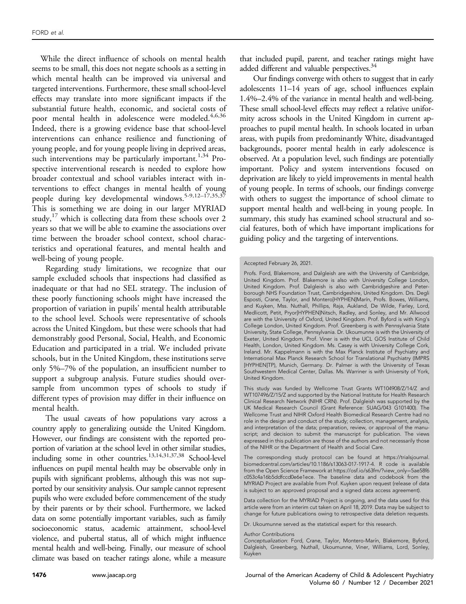While the direct influence of schools on mental health seems to be small, this does not negate schools as a setting in which mental health can be improved via universal and targeted interventions. Furthermore, these small school-level effects may translate into more significant impacts if the substantial future health, economic, and societal costs of poor mental health in adolescence were modeled.<sup>[4](#page-10-3)[,6](#page-10-5)[,36](#page-11-14)</sup> Indeed, there is a growing evidence base that school-level interventions can enhance resilience and functioning of young people, and for young people living in deprived areas, such interventions may be particularly important.<sup>[1,](#page-10-0)[34](#page-11-12)</sup> Prospective interventional research is needed to explore how broader contextual and school variables interact with interventions to effect changes in mental health of young people during key developmental windows.<sup>[5-9](#page-10-4)[,12](#page-10-11)-17[,35](#page-11-13)[,37](#page-11-15)</sup> This is something we are doing in our larger MYRIAD study, $17$  which is collecting data from these schools over 2 years so that we will be able to examine the associations over time between the broader school context, school characteristics and operational features, and mental health and well-being of young people.

Regarding study limitations, we recognize that our sample excluded schools that inspections had classified as inadequate or that had no SEL strategy. The inclusion of these poorly functioning schools might have increased the proportion of variation in pupils' mental health attributable to the school level. Schools were representative of schools across the United Kingdom, but these were schools that had demonstrably good Personal, Social, Health, and Economic Education and participated in a trial. We included private schools, but in the United Kingdom, these institutions serve only 5%–7% of the population, an insufficient number to support a subgroup analysis. Future studies should oversample from uncommon types of schools to study if different types of provision may differ in their influence on mental health.

The usual caveats of how populations vary across a country apply to generalizing outside the United Kingdom. However, our findings are consistent with the reported proportion of variation at the school level in other similar studies, including some in other countries.<sup>13,[14](#page-10-13)[,3](#page-10-2)[1](#page-10-0)[,37,](#page-11-15)[38](#page-11-16)</sup> School-level influences on pupil mental health may be observable only in pupils with significant problems, although this was not supported by our sensitivity analysis. Our sample cannot represent pupils who were excluded before commencement of the study by their parents or by their school. Furthermore, we lacked data on some potentially important variables, such as family socioeconomic status, academic attainment, school-level violence, and pubertal status, all of which might influence mental health and well-being. Finally, our measure of school climate was based on teacher ratings alone, while a measure

that included pupil, parent, and teacher ratings might have added different and valuable perspectives.<sup>34</sup>

Our findings converge with others to suggest that in early adolescents 11–14 years of age, school influences explain 1.4%–2.4% of the variance in mental health and well-being. These small school-level effects may reflect a relative uniformity across schools in the United Kingdom in current approaches to pupil mental health. In schools located in urban areas, with pupils from predominantly White, disadvantaged backgrounds, poorer mental health in early adolescence is observed. At a population level, such findings are potentially important. Policy and system interventions focused on deprivation are likely to yield improvements in mental health of young people. In terms of schools, our findings converge with others to suggest the importance of school climate to support mental health and well-being in young people. In summary, this study has examined school structural and social features, both of which have important implications for guiding policy and the targeting of interventions.

Data collection for the MYRIAD Project is ongoing, and the data used for this article were from an interim cut taken on April 18, 2019. Data may be subject to change for future publications owing to retrospective data deletion requests.

Dr. Ukoumunne served as the statistical expert for this research.

#### Author Contributions

Accepted February 26, 2021.

Profs. Ford, Blakemore, and Dalgleish are with the University of Cambridge, United Kingdom. Prof. Blakemore is also with University College London, United Kingdom. Prof. Dalgleish is also with Cambridgeshire and Peterborough NHS Foundation Trust, Cambridgeshire, United Kingdom. Drs. Degli Esposti, Crane, Taylor, and Montero[HYPHEN]Marín, Profs. Bowes, Williams, and Kuyken, Mss. Nuthall, Phillips, Raja, Aukland, De Wilde, Farley, Lord, Medlicott, Petit, Pryor[HYPHEN]Nitsch, Radley, and Sonley, and Mr. Allwood are with the University of Oxford, United Kingdom. Prof. Byford is with King's College London, United Kingdom. Prof. Greenberg is with Pennsylvania State University, State College, Pennsylvania. Dr. Ukoumunne is with the University of Exeter, United Kingdom. Prof. Viner is with the UCL GOS Institute of Child Health, London, United Kingdom. Ms. Casey is with University College Cork, Ireland. Mr. Kappelmann is with the Max Planck Institute of Psychiatry and International Max Planck Research School for Translational Psychiatry (IMPRS [HYPHEN]TP), Munich, Germany. Dr. Palmer is with the University of Texas Southwestern Medical Center, Dallas. Ms. Warriner is with University of York, United Kingdom.

This study was funded by Wellcome Trust Grants WT104908/Z/14/Z and WT107496/Z/15/Z and supported by the National Institute for Health Research Clinical Research Network (NIHR CRN). Prof. Dalgleish was supported by the UK Medical Research Council (Grant Reference: SUAG/043 G101400). The Wellcome Trust and NIHR Oxford Health Biomedical Research Centre had no role in the design and conduct of the study; collection, management, analysis, and interpretation of the data; preparation, review, or approval of the manuscript; and decision to submit the manuscript for publication. The views expressed in this publication are those of the authors and not necessarily those of the NIHR or the Department of Health and Social Care.

The corresponding study protocol can be found at [https://trialsjournal.](https://trialsjournal.biomedcentral.com/articles/10.1186/s13063-017-1917-4) [biomedcentral.com/articles/10.1186/s13063-017-1917-4](https://trialsjournal.biomedcentral.com/articles/10.1186/s13063-017-1917-4). R code is available from the Open Science Framework at [https://osf.io/s63fm/?view\\_only](https://osf.io/s63fm/?view_only=5ae58f6c053c4a16b5ddfccd0e6e1ece)=[5ae58f6](https://osf.io/s63fm/?view_only=5ae58f6c053c4a16b5ddfccd0e6e1ece) [c053c4a16b5ddfccd0e6e1ece](https://osf.io/s63fm/?view_only=5ae58f6c053c4a16b5ddfccd0e6e1ece). The baseline data and codebook from the MYRIAD Project are available from Prof. Kuyken upon request (release of data is subject to an approved proposal and a signed data access agreement).

Conceptualization: Ford, Crane, Taylor, Montero-Marín, Blakemore, Byford, Dalgleish, Greenberg, Nuthall, Ukoumunne, Viner, Williams, Lord, Sonley, Kuyken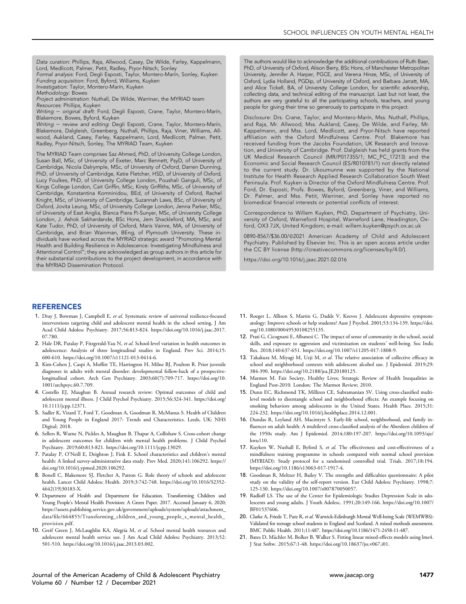Data curation: Phillips, Raja, Allwood, Casey, De Wilde, Farley, Kappelmann, Lord, Medlicott, Palmer, Petit, Radley, Pryor-Nitsch, Sonley Formal analysis: Ford, Degli Esposti, Taylor, Montero-Marın, Sonley, Kuyken

Funding acquisition: Ford, Byford, Williams, Kuyken

Investigation: Taylor, Montero-Marín, Kuyken

Methodology: Bowes

Project administration: Nuthall, De Wilde, Warriner, the MYRIAD team Resources: Phillips, Kuyken

Writing - original draft: Ford, Degli Esposti, Crane, Taylor, Montero-Marín, Blakemore, Bowes, Byford, Kuyken

Writing - review and editing: Degli Esposti, Crane, Taylor, Montero-Marín, Blakemore, Dalgleish, Greenberg, Nuthall, Phillips, Raja, Viner, Williams, Allwood, Aukland, Casey, Farley, Kappelmann, Lord, Medlicott, Palmer, Petit, Radley, Pryor-Nitsch, Sonley, The MYRIAD Team, Kuyken

The MYRIAD Team comprises Saz Ahmed, PhD, of University College London, Susan Ball, MSc, of University of Exeter, Marc Bennett, PsyD, of University of Cambridge, Nicola Dalrymple, MSc, of University of Oxford, Darren Dunning, PhD, of University of Cambridge, Katie Fletcher, HSD, of University of Oxford, Lucy Foulkes, PhD, of University College London, Poushali Ganguli, MSc, of Kings College London, Cait Griffin, MSc, Kirsty Griffiths, MSc, of University of Cambridge, Konstantina Komninidou, BEd, of University of Oxford, Rachel Knight, MSc, of University of Cambridge, Suzannah Laws, BSc, of University of Oxford, Jovita Leung, MSc, of University College London, Jenna Parker, MSc, of University of East Anglia, Blanca Piera Pi-Sunyer, MSc, of University College London, J. Ashok Sakhardande, BSc Hons, Jem Shackleford, MA, MSc, and Kate Tudor, PhD, of University of Oxford, Maris Vainre, MA, of University of Cambridge, and Brian Wainman, BEng, of Plymouth University. These individuals have worked across the MYRIAD strategic award "Promoting Mental Health and Building Resilience in Adolescence: Investigating Mindfulness and Attentional Control"; they are acknowledged as group authors in this article for their substantial contributions to the project development, in accordance with the MYRIAD Dissemination Protocol.

The authors would like to acknowledge the additional contributions of Ruth Baer, PhD, of University of Oxford, Alison Berry, BSc Hons, of Manchester Metropolitan University, Jennifer A. Harper, PGCE, and Verena Hinze, MSc, of University of Oxford, Lydia Holland, PGDip, of University of Oxford, and Barbara Jarratt, MA, and Alice Tickell, BA, of University College London, for scientific advisorship, collecting data, and technical editing of the manuscript. Last but not least, the authors are very grateful to all the participating schools, teachers, and young people for giving their time so generously to participate in this project.

Disclosure: Drs. Crane, Taylor, and Montero-Marín, Mss. Nuthall, Phillips, and Raja, Mr. Allwood, Mss. Aukland, Casey, De Wilde, and Farley, Mr. Kappelmann, and Mss. Lord, Medlicott, and Pryor-Nitsch have reported affiliation with the Oxford Mindfulness Centre. Prof. Blakemore has received funding from the Jacobs Foundation, UK Research and Innovation, and University of Cambridge. Prof. Dalgleish has held grants from the UK Medical Research Council (MR/P017355/1; MC\_PC\_17213) and the Economic and Social Research Council (ES/R010781/1) not directly related to the current study. Dr. Ukoumunne was supported by the National Institute for Health Research Applied Research Collaboration South West Peninsula. Prof. Kuyken is Director of the Oxford Mindfulness Centre. Prof. Ford, Dr. Esposti, Profs. Bowes, Byford, Greenberg, Viner, and Williams, Dr. Palmer, and Mss. Petit, Warriner, and Sonley have reported no biomedical financial interests or potential conflicts of interest.

Correspondence to Willem Kuyken, PhD, Department of Psychiatry, University of Oxford, Warneford Hospital, Warneford Lane, Headington, Oxford, OX3 7JX, United Kingdom; e-mail: [willem.kuyken@psych.ox.ac.uk](mailto:willem.kuyken@psych.ox.ac.uk)

0890-8567/\$36.00/@2021 American Academy of Child and Adolescent Psychiatry. Published by Elsevier Inc. This is an open access article under the CC BY license (http://creativecommons.org/licenses/by/4.0/).

<https://doi.org/10.1016/j.jaac.2021.02.016>

#### REFERENCES

- <span id="page-10-0"></span>1. Dray J, Bowman J, Campbell E, et al. Systematic review of universal resilience-focused interventions targeting child and adolescent mental health in the school setting. J Am Acad Child Adolesc Psychiatry. 2017;56:813-824. [https://doi.org/10.1016/j.jaac.2017.](https://doi.org/10.1016/j.jaac.2017.07.780) [07.780.](https://doi.org/10.1016/j.jaac.2017.07.780)
- <span id="page-10-1"></span>2. Hale DR, Patalay P, Fitzgerald-Yau N, et al. School-level variation in health outcomes in adolescence: Analysis of three longitudinal studies in England. Prev Sci. 2014;15: 600-610. [https://doi.org/10.1007/s11121-013-0414-6.](https://doi.org/10.1007/s11121-013-0414-6)
- <span id="page-10-2"></span>3. Kim-Cohen J, Caspi A, Moffitt TE, Harrington H, Milne BJ, Poulton R. Prior juvenile diagnoses in adults with mental disorder: developmental follow-back of a prospectivelongitudinal cohort. Arch Gen Psychiatry. 2003;60(7):709-717. [https://doi.org/10.](https://doi.org/10.1001/archpsyc.60.7.709) [1001/archpsyc.60.7.709.](https://doi.org/10.1001/archpsyc.60.7.709)
- <span id="page-10-3"></span>4. Costello EJ, Maughan B. Annual research review: Optimal outcomes of child and adolescent mental illness. J Child Psychol Psychiatry. 2015;56:324-341. [https://doi.org/](https://doi.org/10.1111/jcpp.12371) [10.1111/jcpp.12371](https://doi.org/10.1111/jcpp.12371).
- <span id="page-10-4"></span>5. Sadler K, Vizard T, Ford T, Goodman A, Goodman R, McManus S. Health of Children and Young People in England 2017: Trends and Characteristics. Leeds, UK: NHS Digital; 2018.
- <span id="page-10-5"></span>6. Sellers R, Warne N, Pickles A, Maughan B, Thapar A, Collishaw S. Cross-cohort change in adolescent outcomes for children with mental health problems. J Child Psychol Psychiatry. 2019;60:813-821.<https://doi.org/10.1111/jcpp.13029>.
- <span id="page-10-6"></span>7. Patalay P, O'Neill E, Deighton J, Fink E. School characteristics and children's mental health: A linked survey-administrative data study. Prev Med. 2020;141:106292. [https://](https://doi.org/10.1016/j.ypmed.2020.106292) [doi.org/10.1016/j.ypmed.2020.106292.](https://doi.org/10.1016/j.ypmed.2020.106292)
- <span id="page-10-7"></span>8. Bonell C, Blakemore SJ, Fletcher A, Patton G. Role theory of schools and adolescent health. Lancet Child Adolesc Health. 2019;3:742-748. [https://doi.org/10.1016/S2352-](https://doi.org/10.1016/S2352-4642(19)<?thyc=10?>30183-X<?thyc?>) [4642\(19\)30183-X.](https://doi.org/10.1016/S2352-4642(19)<?thyc=10?>30183-X<?thyc?>)
- <span id="page-10-8"></span>9. Department of Health and Department for Education. Transforming Children and Young People's Mental Health Provision: A Green Paper. 2017. Accessed January 6, 2020; [https://assets.publishing.service.gov.uk/government/uploads/system/uploads/attachment\\_](https://assets.publishing.service.gov.uk/government/uploads/system/uploads/attachment_data/file/664855/Transforming_children_and_young_people_s_mental_health_provision.pdf) data/fi[le/664855/Transforming\\_children\\_and\\_young\\_people\\_s\\_mental\\_health\\_](https://assets.publishing.service.gov.uk/government/uploads/system/uploads/attachment_data/file/664855/Transforming_children_and_young_people_s_mental_health_provision.pdf) [provision.pdf](https://assets.publishing.service.gov.uk/government/uploads/system/uploads/attachment_data/file/664855/Transforming_children_and_young_people_s_mental_health_provision.pdf).
- <span id="page-10-9"></span>10. Greif Green J, McLaughlin KA, Alegría M, et al. School mental health resources and adolescent mental health service use. J Am Acad Child Adolesc Psychiatry. 2013;52: 501-510. [https://doi.org/10.1016/j.jaac.2013.03.002.](https://doi.org/10.1016/j.jaac.2013.03.002)
- <span id="page-10-10"></span>11. Roeger L, Allison S, Martin G, Dadds V, Keeves J. Adolescent depressive symptomatology: Improve schools or help students? Aust J Psychol. 2001;53:134-139. [https://doi.](https://doi.org/10.1080/00049530108255135) [org/10.1080/00049530108255135.](https://doi.org/10.1080/00049530108255135)
- <span id="page-10-11"></span>12. Prati G, Cicognani E, Albanesi C. The impact of sense of community in the school, social skills, and exposure to aggression and victimization on students' well-being. Soc Indic Res. 2018;140:637-651.<https://doi.org/10.1007/s11205-017-1808-9>.
- <span id="page-10-12"></span>13. Takakura M, Miyagi M, Ueji M, et al. The relative association of collective efficacy in school and neighborhood contexts with adolescent alcohol use. J Epidemiol. 2019;29: 384-390.<https://doi.org/10.2188/jea.JE20180125>.
- <span id="page-10-13"></span>14. Marmot M. Fair Society, Healthy Lives; Strategic Review of Health Inequalities in England Post-2010. London: The Marmot Review; 2010.
- <span id="page-10-14"></span>15. Dunn EC, Richmond TK, Milliren CE, Subramanian SV. Using cross-classified multilevel models to disentangle school and neighborhood effects: An example focusing on smoking behaviors among adolescents in the United States. Health Place. 2015;31: 224-232. [https://doi.org/10.1016/j.healthplace.2014.12.001.](https://doi.org/10.1016/j.healthplace.2014.12.001)
- <span id="page-10-15"></span>16. Dundas R, Leyland AH, Macintyre S. Early-life school, neighborhood, and family influences on adult health: A multilevel cross-classified analysis of the Aberdeen children of the 1950s study. Am J Epidemiol. 2014;180:197-207. [https://doi.org/10.1093/aje/](https://doi.org/10.1093/aje/kwu110) [kwu110](https://doi.org/10.1093/aje/kwu110).
- <span id="page-10-16"></span>17. Kuyken W, Nuthall E, Byford S, et al. The effectiveness and cost-effectiveness of a mindfulness training programme in schools compared with normal school provision (MYRIAD): Study protocol for a randomised controlled trial. Trials. 2017;18:194. [https://doi.org/10.1186/s13063-017-1917-4.](https://doi.org/10.1186/s13063-017-1917-4)
- <span id="page-10-17"></span>18. Goodman R, Meltzer H, Bailey V. The strengths and difficulties questionnaire: A pilot study on the validity of the self-report version. Eur Child Adolesc Psychiatry. 1998;7: 125-130. [https://doi.org/10.1007/s007870050057.](https://doi.org/10.1007/s007870050057)
- <span id="page-10-18"></span>19. Radloff LS. The use of the Center for Epidemiologic Studies Depression Scale in adolescents and young adults. J Youth Adolesc. 1991;20:149-166. [https://doi.org/10.1007/](https://doi.org/10.1007/BF01537606) [BF01537606](https://doi.org/10.1007/BF01537606).
- <span id="page-10-19"></span>20. Clarke A, Friede T, Putz R, et al. Warwick-Edinburgh Mental Well-being Scale (WEMWBS): Validated for teenage school students in England and Scotland. A mixed methods assessment. BMC Public Health. 2011;11:487.<https://doi.org/10.1186/1471-2458-11-487>.
- <span id="page-10-20"></span>21. Bates D, Mächler M, Bolker B, Walker S. Fitting linear mixed-effects models using lme4. J Stat Softw. 2015;67:1-48. [https://doi.org/10.18637/jss.v067.i01.](https://doi.org/10.18637/jss.v067.i01)